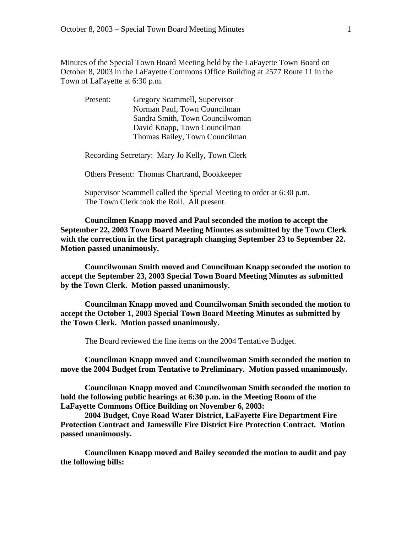Minutes of the Special Town Board Meeting held by the LaFayette Town Board on October 8, 2003 in the LaFayette Commons Office Building at 2577 Route 11 in the Town of LaFayette at 6:30 p.m.

| Present: | Gregory Scammell, Supervisor     |
|----------|----------------------------------|
|          | Norman Paul, Town Councilman     |
|          | Sandra Smith, Town Council woman |
|          | David Knapp, Town Councilman     |
|          | Thomas Bailey, Town Councilman   |

Recording Secretary: Mary Jo Kelly, Town Clerk

Others Present: Thomas Chartrand, Bookkeeper

 Supervisor Scammell called the Special Meeting to order at 6:30 p.m. The Town Clerk took the Roll. All present.

**Councilmen Knapp moved and Paul seconded the motion to accept the September 22, 2003 Town Board Meeting Minutes as submitted by the Town Clerk with the correction in the first paragraph changing September 23 to September 22. Motion passed unanimously.** 

 **Councilwoman Smith moved and Councilman Knapp seconded the motion to accept the September 23, 2003 Special Town Board Meeting Minutes as submitted by the Town Clerk. Motion passed unanimously.** 

 **Councilman Knapp moved and Councilwoman Smith seconded the motion to accept the October 1, 2003 Special Town Board Meeting Minutes as submitted by the Town Clerk. Motion passed unanimously.** 

The Board reviewed the line items on the 2004 Tentative Budget.

**Councilman Knapp moved and Councilwoman Smith seconded the motion to move the 2004 Budget from Tentative to Preliminary. Motion passed unanimously.** 

 **Councilman Knapp moved and Councilwoman Smith seconded the motion to hold the following public hearings at 6:30 p.m. in the Meeting Room of the LaFayette Commons Office Building on November 6, 2003:** 

 **2004 Budget, Coye Road Water District, LaFayette Fire Department Fire Protection Contract and Jamesville Fire District Fire Protection Contract. Motion passed unanimously.** 

**Councilmen Knapp moved and Bailey seconded the motion to audit and pay the following bills:**